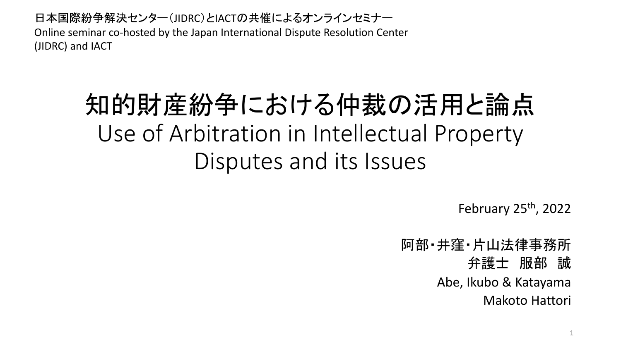日本国際紛争解決センター(JIDRC)とIACTの共催によるオンラインセミナー Online seminar co-hosted by the Japan International Dispute Resolution Center (JIDRC) and IACT

# 知的財産紛争における仲裁の活用と論点 Use of Arbitration in Intellectual Property Disputes and its Issues

February  $25<sup>th</sup>$ , 2022

阿部・井窪・片山法律事務所 弁護士 服部 誠 Abe, Ikubo & Katayama Makoto Hattori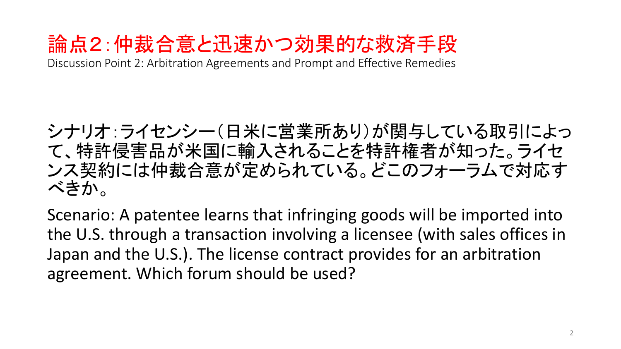## 論点2:仲裁合意と迅速かつ効果的な救済手段

Discussion Point 2: Arbitration Agreements and Prompt and Effective Remedies

シナリオ:ライセンシー(日米に営業所あり)が関与している取引によっ て、特許侵害品が米国に輸入されることを特許権者が知った。ライセ ンス契約には仲裁合意が定められている。どこのフォーラムで対応す べきか。

Scenario: A patentee learns that infringing goods will be imported into the U.S. through a transaction involving a licensee (with sales offices in Japan and the U.S.). The license contract provides for an arbitration agreement. Which forum should be used?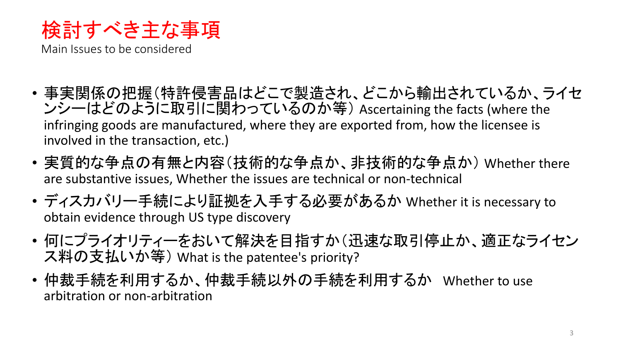

Main Issues to be considered

- 事実関係の把握(特許侵害品はどこで製造され、どこから輸出されているか、ライセ ンシーはどのように取引に関わっているのか等) Ascertaining the facts (where the infringing goods are manufactured, where they are exported from, how the licensee is involved in the transaction, etc.)
- 実質的な争点の有無と内容(技術的な争点か、非技術的な争点か) Whether there are substantive issues, Whether the issues are technical or non-technical
- ディスカバリー手続により証拠を入手する必要があるか Whether it is necessary to obtain evidence through US type discovery
- 何にプライオリティーをおいて解決を目指すか(迅速な取引停止か、適正なライセン ス料の支払いか等) What is the patentee's priority?
- 仲裁手続を利用するか、仲裁手続以外の手続を利用するか Whether to use arbitration or non-arbitration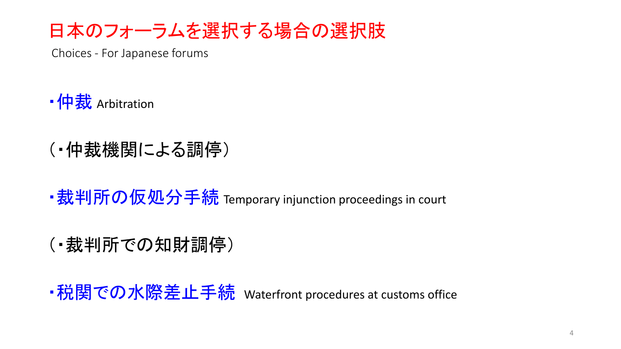## 日本のフォーラムを選択する場合の選択肢

Choices - For Japanese forums

• 仲裁 Arbitration

- (・仲裁機関による調停)
- •裁判所の仮処分手続 Temporary injunction proceedings in court
- (・裁判所での知財調停)

・税関での水際差止手続 Waterfront procedures at customs office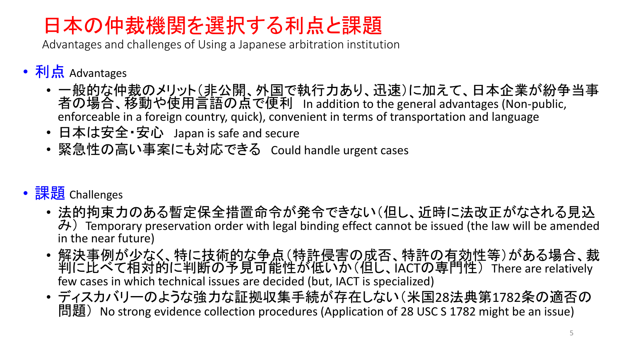## 日本の仲裁機関を選択する利点と課題

Advantages and challenges of Using a Japanese arbitration institution

- 利点 Advantages
	- 一般的な仲裁のメリット(非公開、外国で執行力あり、迅速)に加えて、日本企業が紛争当事 者の場合、移動や使用言語の点で便利 In addition to the general advantages (Non-public, enforceable in a foreign country, quick), convenient in terms of transportation and language
	- 日本は安全・安心 Japan is safe and secure
	- 緊急性の高い事案にも対応できる Could handle urgent cases

### • 課題 Challenges

- 法的拘束力のある暫定保全措置命令が発令できない(但し、近時に法改正がなされる見込 み) Temporary preservation order with legal binding effect cannot be issued (the law will be amended in the near future)
- 解決事例が少なく、特に技術的な争点(特許侵害の成否、特許の有効性等)がある場合、裁 判に比べて相対的に判断の予見可能性が低いか(但し、IACTの専門性) There are relatively few cases in which technical issues are decided (but, IACT is specialized)
- ディスカバリーのような強力な証拠収集手続が存在しない(米国28法典第1782条の適否の 問題) No strong evidence collection procedures (Application of 28 USC S 1782 might be an issue)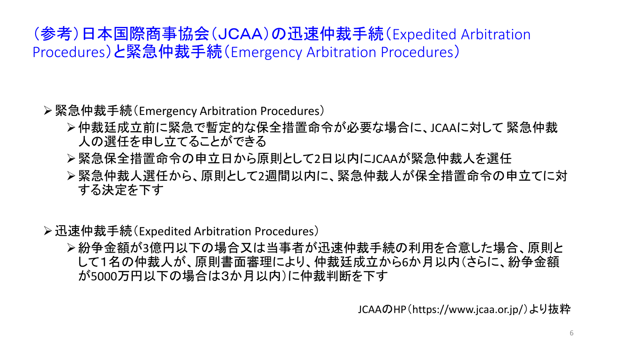### (参考)日本国際商事協会(JCAA)の迅速仲裁手続(Expedited Arbitration Procedures)と緊急仲裁手続(Emergency Arbitration Procedures)

#### ➢緊急仲裁手続(Emergency Arbitration Procedures)

- ➢仲裁廷成立前に緊急で暫定的な保全措置命令が必要な場合に、JCAAに対して 緊急仲裁 人の選任を申し立てることができる
- ➢緊急保全措置命令の申立日から原則として2日以内にJCAAが緊急仲裁人を選任
- ➢緊急仲裁人選任から、原則として2週間以内に、緊急仲裁人が保全措置命令の申立てに対 する決定を下す

#### ➢迅速仲裁手続(Expedited Arbitration Procedures)

➢紛争金額が3億円以下の場合又は当事者が迅速仲裁手続の利用を合意した場合、原則と して1名の仲裁人が、原則書面審理により、仲裁廷成立から6か月以内(さらに、紛争金額 が5000万円以下の場合は3か月以内)に仲裁判断を下す

JCAAのHP(https://www.jcaa.or.jp/)より抜粋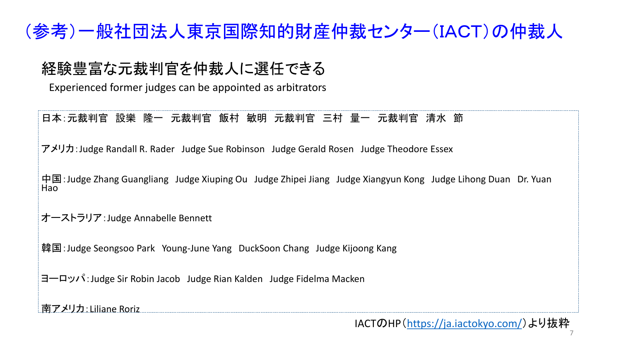### (参考)一般社団法人東京国際知的財産仲裁センター(IACT)の仲裁人

### 経験豊富な元裁判官を仲裁人に選任できる

Experienced former judges can be appointed as arbitrators

#### 日本:元裁判官 設樂 隆一 元裁判官 飯村 敏明 元裁判官 三村 量一 元裁判官 清水 節

アメリカ:Judge Randall R. Rader Judge Sue Robinson Judge Gerald Rosen Judge Theodore Essex

中国:Judge Zhang Guangliang Judge Xiuping Ou Judge Zhipei Jiang Judge Xiangyun Kong Judge Lihong Duan Dr. Yuan Hao

オーストラリア:Judge Annabelle Bennett

韓国: Judge Seongsoo Park Young-June Yang DuckSoon Chang Judge Kijoong Kang

ヨーロッパ:Judge Sir Robin Jacob Judge Rian Kalden Judge Fidelma Macken

南アメリカ:Liliane Roriz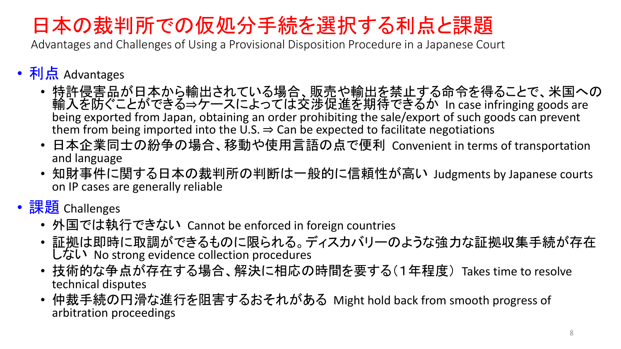## 日本の裁判所での仮処分手続を選択する利点と課題

Advantages and Challenges of Using a Provisional Disposition Procedure in a Japanese Court

- 利点 Advantages
	- 特許侵害品が日本から輸出されている場合、販売や輸出を禁止する命令を得ることで、米国への 輸入を防ぐことができる⇒ケースによっては交渉促進を期待できるか In case infringing goods are being exported from Japan, obtaining an order prohibiting the sale/export of such goods can prevent them from being imported into the U.S.  $\Rightarrow$  Can be expected to facilitate negotiations
	- 日本企業同士の紛争の場合、移動や使用言語の点で便利 Convenient in terms of transportation and language
	- 知財事件に関する日本の裁判所の判断は一般的に信頼性が高い Judgments by Japanese courts on IP cases are generally reliable
- 課題 Challenges
	- 外国では執行できない Cannot be enforced in foreign countries
	- 証拠は即時に取調ができるものに限られる。ディスカバリーのような強力な証拠収集手続が存在 しない No strong evidence collection procedures
	- 技術的な争点が存在する場合、解決に相応の時間を要する(1年程度) Takes time to resolve technical disputes
	- 仲裁手続の円滑な進行を阻害するおそれがある Might hold back from smooth progress of arbitration proceedings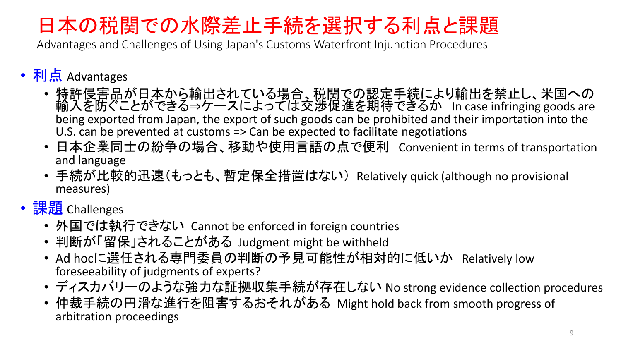## 日本の税関での水際差止手続を選択する利点と課題

Advantages and Challenges of Using Japan's Customs Waterfront Injunction Procedures

- 利点 Advantages
	- 特許侵害品が日本から輸出されている場合、税関での認定手続により輸出を禁止し、米国への 輸入を防ぐことができる⇒ケースによっては交渉促進を期待できるか In case infringing goods are being exported from Japan, the export of such goods can be prohibited and their importation into the U.S. can be prevented at customs => Can be expected to facilitate negotiations
	- 日本企業同士の紛争の場合、移動や使用言語の点で便利 Convenient in terms of transportation and language
	- 手続が比較的迅速(もっとも、暫定保全措置はない) Relatively quick (although no provisional measures)
- 課題 Challenges
	- 外国では執行できない Cannot be enforced in foreign countries
	- 判断が「留保」されることがある Judgment might be withheld
	- Ad hocに選任される専門委員の判断の予見可能性が相対的に低いか Relatively low foreseeability of judgments of experts?
	- ディスカバリーのような強力な証拠収集手続が存在しない No strong evidence collection procedures
	- 仲裁手続の円滑な進行を阻害するおそれがある Might hold back from smooth progress of arbitration proceedings